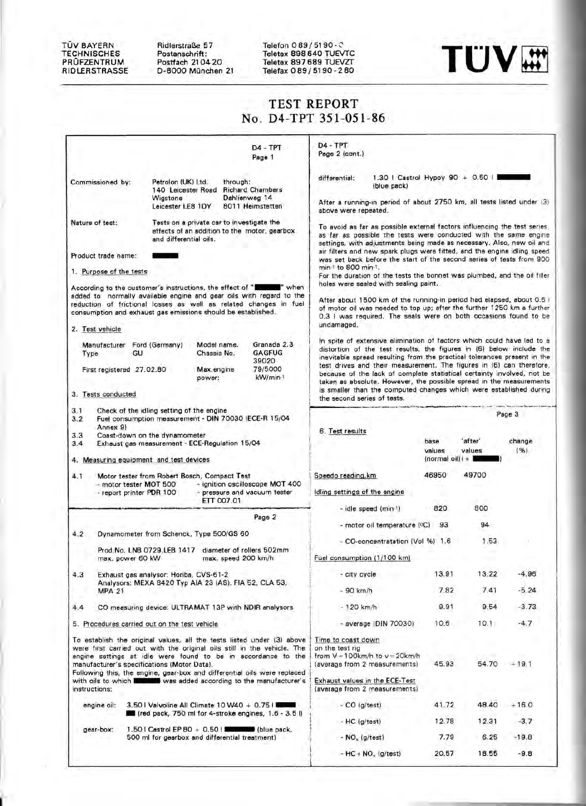#### TOV BAYERN TECHNISCHES PROFZENTRUM RIOLERSTRASSE

1'-

Ridlerstraße 57 Postanschrift: Postfach 21 04 20 0-8000 Miinchen 21 Telefon 089/5190-C Teletex 898640 TUEVTC



## TEST REPORT No. D4-TPT 351-051-86

|                                                                                                                                                                                                                                                                                                                                               |                                                                                                                                                                       |                                                                                                                            |                                                                                           | $D4 - TPT$<br>Page 1                                                                                                                               | $DA - TPT$<br>Page 2 (cont.)                                                                                                                                                                                                                                                                                                                                                                                                                                                                                                                                                                                                                                                                                                                                                                                                                                                                                                                                 |                                                                        |                                        |                   |                |  |
|-----------------------------------------------------------------------------------------------------------------------------------------------------------------------------------------------------------------------------------------------------------------------------------------------------------------------------------------------|-----------------------------------------------------------------------------------------------------------------------------------------------------------------------|----------------------------------------------------------------------------------------------------------------------------|-------------------------------------------------------------------------------------------|----------------------------------------------------------------------------------------------------------------------------------------------------|--------------------------------------------------------------------------------------------------------------------------------------------------------------------------------------------------------------------------------------------------------------------------------------------------------------------------------------------------------------------------------------------------------------------------------------------------------------------------------------------------------------------------------------------------------------------------------------------------------------------------------------------------------------------------------------------------------------------------------------------------------------------------------------------------------------------------------------------------------------------------------------------------------------------------------------------------------------|------------------------------------------------------------------------|----------------------------------------|-------------------|----------------|--|
|                                                                                                                                                                                                                                                                                                                                               | Commissioned by:                                                                                                                                                      | Petrolon (UK) Ltd.<br>140 Leicester Road<br>Wigstone<br>Leicester LE8 1DY                                                  | through:                                                                                  | <b>Richard Chambers</b><br>Dahlienweg 14<br>8011 Heimstetten                                                                                       | 1.30   Castrol Hypoy 90 + 0.50    <br>differential:<br>(blue pack)<br>After a running-in period of about 2750 km, all tests listed under (3)<br>above were repeated.<br>To avoid as far as possible external factors influencing the test series.<br>as far as possible the tests were conducted with the same engine<br>settings, with adjustments being made as necessary. Also, new oil and<br>air filters and new spark plugs were fitted, and the engine idling speed<br>was set back before the start of the second series of tests from 900.<br>min <sup>1</sup> to 800 min <sup>-1</sup> .<br>For the duration of the tests the bonnet was plumbed, and the oil filler<br>holes were sealed with sealing paint.<br>After about 1500 km of the running-in period had elapsed, about 0.6 I<br>of motor oil was needed to top up; after the further 1250 km a further<br>0.3 I was required. The seals were on both occasions found to be<br>undamaged. |                                                                        |                                        |                   |                |  |
| Nature of test:                                                                                                                                                                                                                                                                                                                               |                                                                                                                                                                       | and differential oils.                                                                                                     | Tests on a private car to investigate the<br>effects of an addition to the motor, gearbox |                                                                                                                                                    |                                                                                                                                                                                                                                                                                                                                                                                                                                                                                                                                                                                                                                                                                                                                                                                                                                                                                                                                                              |                                                                        |                                        |                   |                |  |
|                                                                                                                                                                                                                                                                                                                                               | Product trade name:                                                                                                                                                   |                                                                                                                            |                                                                                           |                                                                                                                                                    |                                                                                                                                                                                                                                                                                                                                                                                                                                                                                                                                                                                                                                                                                                                                                                                                                                                                                                                                                              |                                                                        |                                        |                   |                |  |
|                                                                                                                                                                                                                                                                                                                                               | 1. Purpose of the tests                                                                                                                                               |                                                                                                                            |                                                                                           |                                                                                                                                                    |                                                                                                                                                                                                                                                                                                                                                                                                                                                                                                                                                                                                                                                                                                                                                                                                                                                                                                                                                              |                                                                        |                                        |                   |                |  |
|                                                                                                                                                                                                                                                                                                                                               | 2. Test vehicle                                                                                                                                                       | According to the customer's instructions, the effect of "I<br>consumption and exhaust gas emissions should be established. |                                                                                           | " when<br>added to normally available engine and gear oils with regard to the<br>reduction of frictional losses as well as related changes in fuel |                                                                                                                                                                                                                                                                                                                                                                                                                                                                                                                                                                                                                                                                                                                                                                                                                                                                                                                                                              |                                                                        |                                        |                   |                |  |
|                                                                                                                                                                                                                                                                                                                                               |                                                                                                                                                                       |                                                                                                                            |                                                                                           |                                                                                                                                                    |                                                                                                                                                                                                                                                                                                                                                                                                                                                                                                                                                                                                                                                                                                                                                                                                                                                                                                                                                              | In spite of extensive elimination of factors which could have led to a |                                        |                   |                |  |
| Type                                                                                                                                                                                                                                                                                                                                          |                                                                                                                                                                       | Manufacturer Ford (Germany)<br>GU                                                                                          | Model name.<br>Chassis No.                                                                | Granada 2.3<br><b>GAGFUG</b>                                                                                                                       | distortion of the test results, the figures in (6) below include the<br>inevitable spread resulting from the practical tolerances present in the<br>test drives and their measurement. The figures in (6) can therefore,<br>because of the lack of complete statistical certainty involved, not be<br>taken as absolute. However, the possible spread in the measurements<br>is smaller than the computed changes which were established during                                                                                                                                                                                                                                                                                                                                                                                                                                                                                                              |                                                                        |                                        |                   |                |  |
|                                                                                                                                                                                                                                                                                                                                               |                                                                                                                                                                       | First registered 27.02.80                                                                                                  | Max, engine<br>power:                                                                     | 39020<br>79/5000<br>kW/min-1                                                                                                                       |                                                                                                                                                                                                                                                                                                                                                                                                                                                                                                                                                                                                                                                                                                                                                                                                                                                                                                                                                              |                                                                        |                                        |                   |                |  |
|                                                                                                                                                                                                                                                                                                                                               | 3. Tests conducted                                                                                                                                                    |                                                                                                                            |                                                                                           |                                                                                                                                                    | the second series of tests.                                                                                                                                                                                                                                                                                                                                                                                                                                                                                                                                                                                                                                                                                                                                                                                                                                                                                                                                  |                                                                        |                                        |                   |                |  |
| 3.1<br>3.2                                                                                                                                                                                                                                                                                                                                    | Check of the idling setting of the engine<br>Fuel consumption measurement - DIN 70030 (ECE-R 15/04<br>Annex 9)                                                        |                                                                                                                            |                                                                                           |                                                                                                                                                    |                                                                                                                                                                                                                                                                                                                                                                                                                                                                                                                                                                                                                                                                                                                                                                                                                                                                                                                                                              | Page 3                                                                 |                                        |                   |                |  |
| 3.3<br>Coast-down on the dynamometer<br>Exhaust gas measurement - ECE-Regulation 15/04<br>3.4<br>4. Measuring equipment and test devices                                                                                                                                                                                                      |                                                                                                                                                                       |                                                                                                                            |                                                                                           |                                                                                                                                                    | 6. Test results                                                                                                                                                                                                                                                                                                                                                                                                                                                                                                                                                                                                                                                                                                                                                                                                                                                                                                                                              |                                                                        | base<br>values<br>(normal oil) $  +  $ | 'after'<br>values | change<br>(96) |  |
|                                                                                                                                                                                                                                                                                                                                               |                                                                                                                                                                       |                                                                                                                            |                                                                                           |                                                                                                                                                    | Speedo reading, km                                                                                                                                                                                                                                                                                                                                                                                                                                                                                                                                                                                                                                                                                                                                                                                                                                                                                                                                           |                                                                        | 46950                                  | 49700             |                |  |
| 4.1                                                                                                                                                                                                                                                                                                                                           | Motor tester from Robert Bosch, Compact Test<br>- ignition oscilloscope MOT 400<br>- motor tester MOT 500<br>- pressure and vacuum tester<br>- report printer PDR 100 |                                                                                                                            |                                                                                           | Idling settings of the engine                                                                                                                      |                                                                                                                                                                                                                                                                                                                                                                                                                                                                                                                                                                                                                                                                                                                                                                                                                                                                                                                                                              |                                                                        |                                        |                   |                |  |
|                                                                                                                                                                                                                                                                                                                                               |                                                                                                                                                                       |                                                                                                                            | ETT 007.01                                                                                |                                                                                                                                                    |                                                                                                                                                                                                                                                                                                                                                                                                                                                                                                                                                                                                                                                                                                                                                                                                                                                                                                                                                              | - idle speed (min-1)                                                   | 820                                    | 800               |                |  |
|                                                                                                                                                                                                                                                                                                                                               |                                                                                                                                                                       |                                                                                                                            |                                                                                           | Page 2                                                                                                                                             |                                                                                                                                                                                                                                                                                                                                                                                                                                                                                                                                                                                                                                                                                                                                                                                                                                                                                                                                                              | - motor oil temperature (°C) 93                                        |                                        | 94                |                |  |
| 4.2                                                                                                                                                                                                                                                                                                                                           |                                                                                                                                                                       | Dynamometer from Schenck, Type 500/GS 60                                                                                   |                                                                                           |                                                                                                                                                    |                                                                                                                                                                                                                                                                                                                                                                                                                                                                                                                                                                                                                                                                                                                                                                                                                                                                                                                                                              | - CO-concentratation (Vol %) 1.6                                       |                                        | 1.53              |                |  |
|                                                                                                                                                                                                                                                                                                                                               |                                                                                                                                                                       | Prod.No. LNB 0729,LEB 1417 diameter of rollers 502mm<br>max. power 60 kW                                                   | max, speed 200 km/h                                                                       |                                                                                                                                                    | Fuel consumption (1/100 km)                                                                                                                                                                                                                                                                                                                                                                                                                                                                                                                                                                                                                                                                                                                                                                                                                                                                                                                                  |                                                                        |                                        |                   |                |  |
|                                                                                                                                                                                                                                                                                                                                               |                                                                                                                                                                       |                                                                                                                            |                                                                                           |                                                                                                                                                    |                                                                                                                                                                                                                                                                                                                                                                                                                                                                                                                                                                                                                                                                                                                                                                                                                                                                                                                                                              |                                                                        | 13.91                                  | 13.22             | $-4.96$        |  |
| 4.3                                                                                                                                                                                                                                                                                                                                           |                                                                                                                                                                       | Exhaust gas analysor: Horiba, CVS-61-2<br>Analysors: MEXA 8420 Typ AIA 23 (AS), FIA 52, CLA 53,                            |                                                                                           |                                                                                                                                                    | - city cycle                                                                                                                                                                                                                                                                                                                                                                                                                                                                                                                                                                                                                                                                                                                                                                                                                                                                                                                                                 |                                                                        |                                        |                   |                |  |
|                                                                                                                                                                                                                                                                                                                                               | <b>MPA 21</b>                                                                                                                                                         |                                                                                                                            |                                                                                           |                                                                                                                                                    | $-90$ km/h                                                                                                                                                                                                                                                                                                                                                                                                                                                                                                                                                                                                                                                                                                                                                                                                                                                                                                                                                   |                                                                        | 7.82                                   | 7.41              | $-5.24$        |  |
| 4.4                                                                                                                                                                                                                                                                                                                                           |                                                                                                                                                                       | CO measuring device: ULTRAMAT 13P with NDIR analysors                                                                      |                                                                                           |                                                                                                                                                    | $-120$ km/h                                                                                                                                                                                                                                                                                                                                                                                                                                                                                                                                                                                                                                                                                                                                                                                                                                                                                                                                                  |                                                                        | 9.91                                   | 9.54              | $-3.73$        |  |
|                                                                                                                                                                                                                                                                                                                                               |                                                                                                                                                                       | 5. Procedures carried out on the test vehicle                                                                              |                                                                                           |                                                                                                                                                    |                                                                                                                                                                                                                                                                                                                                                                                                                                                                                                                                                                                                                                                                                                                                                                                                                                                                                                                                                              | $-$ average (DIN 70030)                                                | 10.6                                   | 10.1              | $-4.7$         |  |
| To establish the original values, all the tests listed under (3) above<br>were first carried out with the original oils still in the vehicle. The<br>engine settings at idle were found to be in accordance to the<br>manufacturer's specifications (Motor Data).<br>Following this, the engine, gear-box and differential oils were replaced |                                                                                                                                                                       |                                                                                                                            |                                                                                           |                                                                                                                                                    | Time to coast down<br>on the test rig<br>from $V = 100$ km/h to $v = 20$ km/h<br>54.70<br>45.93<br>$+19.1$<br>(average from 2 measurements)                                                                                                                                                                                                                                                                                                                                                                                                                                                                                                                                                                                                                                                                                                                                                                                                                  |                                                                        |                                        |                   |                |  |
| instructions:                                                                                                                                                                                                                                                                                                                                 |                                                                                                                                                                       |                                                                                                                            |                                                                                           | with oils to which is so was added according to the manufacturer's                                                                                 | Exhaust values in the ECE-Test<br>(average from 2 measurements)                                                                                                                                                                                                                                                                                                                                                                                                                                                                                                                                                                                                                                                                                                                                                                                                                                                                                              |                                                                        |                                        |                   |                |  |
| engine oil:<br>3.50   Valvoline All Climate $10 W40 + 0.75$                                                                                                                                                                                                                                                                                   |                                                                                                                                                                       |                                                                                                                            |                                                                                           |                                                                                                                                                    | $-CO$ (g/test)                                                                                                                                                                                                                                                                                                                                                                                                                                                                                                                                                                                                                                                                                                                                                                                                                                                                                                                                               |                                                                        | 41.72                                  | 48.40             | $+16.0$        |  |
|                                                                                                                                                                                                                                                                                                                                               |                                                                                                                                                                       | (red pack, 750 ml for 4-stroke engines, 1.6 - 3.5 l)                                                                       |                                                                                           |                                                                                                                                                    | $-HC$ (g/test)                                                                                                                                                                                                                                                                                                                                                                                                                                                                                                                                                                                                                                                                                                                                                                                                                                                                                                                                               |                                                                        | 12.78                                  | 12.31             | $-3.7$         |  |
| gear-box:<br>500 ml for gearbox and differential treatment)                                                                                                                                                                                                                                                                                   |                                                                                                                                                                       |                                                                                                                            |                                                                                           |                                                                                                                                                    | - $NO_x$ (g/test)                                                                                                                                                                                                                                                                                                                                                                                                                                                                                                                                                                                                                                                                                                                                                                                                                                                                                                                                            |                                                                        | 7.79                                   | 6.25              | $-19.8$        |  |
|                                                                                                                                                                                                                                                                                                                                               |                                                                                                                                                                       |                                                                                                                            |                                                                                           |                                                                                                                                                    |                                                                                                                                                                                                                                                                                                                                                                                                                                                                                                                                                                                                                                                                                                                                                                                                                                                                                                                                                              | - $HC + NO_x (g/test)$                                                 |                                        |                   | $-9.8$         |  |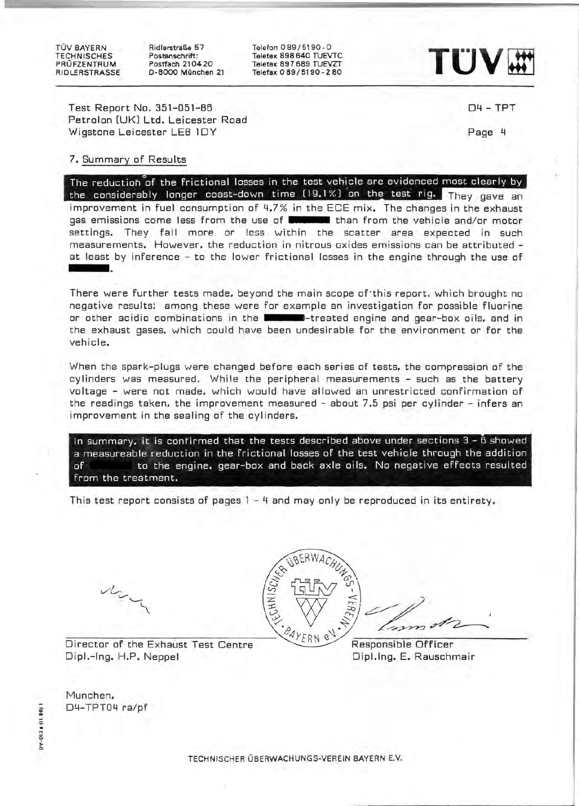TOV BAYERN **TECHNISCHES** PROFZENTRUM RIOLERSTRASSE . RidlerstraBe 57 Postanschrift: Postfach 210420 0-8000 Munchen 21

Teleton 089/5190 - 0 Teletex 898640 TUEVTC Teletex 897689 TUEVZT



Test Report No. 351-051-85 Petrolon (UK) Ltd. Leicester Road Wigstone Leicester LE8 lOY

04 - TPT

Page 4

## 7. Summary of Results

The reduction of the frictional losses in the test vehicle are evidenced most clearly by the considerably longer coast-down time  $(19.1\%)$  on the test rig. They gave an improvement in fuel consumption of 4.7% in the ECE mix. The changes in the exhaust gas emissions come less from the use of **the set of than** from the vehicle and/or motor settings. They fall more or less within the scatter area expected in such measurements. However. the reduction in nitrous oxides emissions can be attributed at least by inference - to the lower frictional losses in the engine through the use of

There were further tests made. beyond the main scope of'this report. which brought no negative results: among these were for example an investigation for possible fluorine or other acidic combinations in the **the computer of the set of the set of the set of the set of the set of the set of the set of the set of the set of the set of the set of the set of the set of the set of the set of the** the exhaust gases. which could have been undesirable for the environment or for the vehicle.

When the spark-plugs were changed before each series of tests. the compression of the cylinders was measured. While the peripheral measurements - such as the battery voltage - were not made. which would have allowed an unrestricted confirmation of the readings taken. the improvement measured - about 7.5 psi per cylinder - infers an improvement in the sealing of the cylinders.

In summary, it is confirmed that the tests described above under sections  $3 - \tilde{6}$  showed a measureable reduction in the frictional losses of the test vehicle through the addition of to the engine. gear-box and back axle oils. No negative effects resulted from the treatment.

This test report consists of pages 1 - 4 and may only be reproduced in its entirety.





Director of the Exhaust Test Centre (24YERN e<sup>v. \*</sup> Responsible Officer

Dipl.-Ing. H.P. Neppel Dipl.lng. E. Rauschmair

Munchen. D4-TPT04 ra/pf

013 a (11.8) ~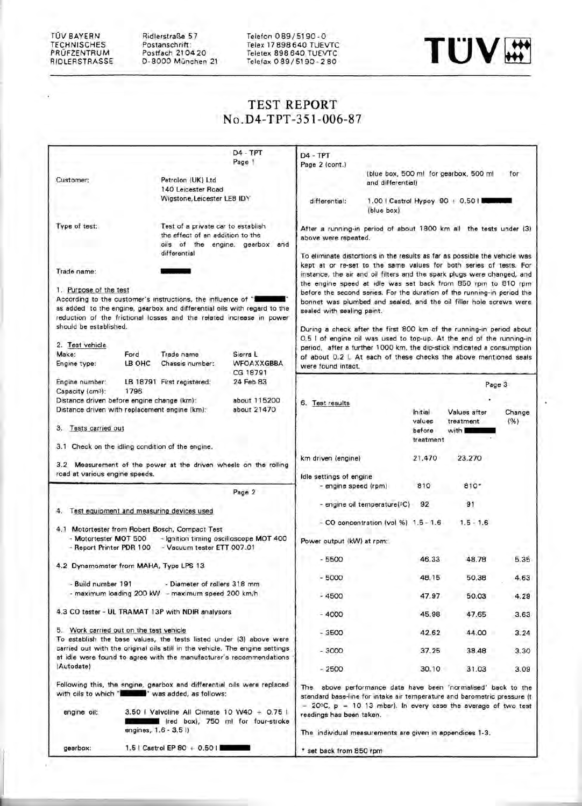TOV BAYERN **TECHNISCHES** PROFZENTRUM RIDLERSTRASSE Ridlerstraße 57 Postanschrift : Postfach 210420 0-8000 Munchen 21

Telefon 089 / 5190 - 0 Telex 17898640 TUEVTC Teletex 898640 TUEVTC



# **TEST REPORT**  No .D4-**TPT** -351-006-87

|                                                   |                                                                                                                                                                                                                   | D4 - TPT<br>Page 1                     | $D4 - TPT$                                                                                                                                                                                                                   |                                                                                                                                                                                                                |                     |        |  |  |
|---------------------------------------------------|-------------------------------------------------------------------------------------------------------------------------------------------------------------------------------------------------------------------|----------------------------------------|------------------------------------------------------------------------------------------------------------------------------------------------------------------------------------------------------------------------------|----------------------------------------------------------------------------------------------------------------------------------------------------------------------------------------------------------------|---------------------|--------|--|--|
|                                                   |                                                                                                                                                                                                                   |                                        | Page 2 (cont.)                                                                                                                                                                                                               | (blue box, 500 ml for gearbox, 500 ml                                                                                                                                                                          |                     | for    |  |  |
| Customer:                                         | Petrolon (UK) Ltd<br>140 Leicester Road                                                                                                                                                                           |                                        |                                                                                                                                                                                                                              | and differential)                                                                                                                                                                                              |                     |        |  |  |
|                                                   | Wigstone, Leicester LE8 IDY                                                                                                                                                                                       |                                        | differential:                                                                                                                                                                                                                | 1.00   Castrol Hypoy 90 + 0.50  <br>(blue box)                                                                                                                                                                 |                     |        |  |  |
|                                                   |                                                                                                                                                                                                                   |                                        |                                                                                                                                                                                                                              |                                                                                                                                                                                                                |                     |        |  |  |
| Type of test:                                     | Test of a private car to establish<br>the effect of an addition to the<br>differential                                                                                                                            | oils of the engine, gearbox and        | After a running-in period of about 1800 km all the tests under (3)<br>above were repeated.<br>To eliminate distortions in the results as far as possible the vehicle was                                                     |                                                                                                                                                                                                                |                     |        |  |  |
| Trade name:                                       |                                                                                                                                                                                                                   |                                        | kept at or re-set to the same values for both series of tests. For<br>instance, the air and oil filters and the spark plugs were changed, and                                                                                |                                                                                                                                                                                                                |                     |        |  |  |
| 1. Purpose of the test<br>should be established.  | According to the customer's instructions, the influence of "I<br>as added to the engine, gearbox and differential oils with regard to the<br>reduction of the frictional losses and the related increase in power |                                        | sealed with sealing paint.                                                                                                                                                                                                   | the engine speed at idle was set back from 850 rpm to 810 rpm<br>before the second series. For the duration of the running-in period the<br>bonnet was plumbed and sealed, and the oil filler hole screws were |                     |        |  |  |
|                                                   |                                                                                                                                                                                                                   |                                        | During a check after the first 800 km of the running-in period about<br>0.5 I of engine oil was used to top-up. At the end of the running-in                                                                                 |                                                                                                                                                                                                                |                     |        |  |  |
| 2. Test vehicle<br>Make:                          | Ford<br>Trade name                                                                                                                                                                                                | Sierra L                               |                                                                                                                                                                                                                              | period, after a further 1000 km, the dip-stick indicated a consumption                                                                                                                                         |                     |        |  |  |
| Engine type:                                      | LB OHC<br>Chassis number:                                                                                                                                                                                         | WFOAXXGBBA<br>CG 18791                 | were found intact.                                                                                                                                                                                                           | of about 0.2 I. At each of these checks the above mentioned seals                                                                                                                                              |                     |        |  |  |
| Engine number:<br>Capacity (cm3):                 | LB 18791 First registered:<br>1796                                                                                                                                                                                | 24 Feb 83                              |                                                                                                                                                                                                                              |                                                                                                                                                                                                                |                     | Page 3 |  |  |
|                                                   | Distance driven before engine change (km):<br>Distance driven with replacement engine (km):                                                                                                                       | about 115200<br>about 21470            | 6. Test results                                                                                                                                                                                                              | Initial                                                                                                                                                                                                        | Values after        | Change |  |  |
| 3. Tests carried out                              |                                                                                                                                                                                                                   |                                        |                                                                                                                                                                                                                              | values<br>before                                                                                                                                                                                               | treatment<br>with L | (%)    |  |  |
|                                                   | 3.1 Check on the idling condition of the engine.                                                                                                                                                                  |                                        |                                                                                                                                                                                                                              | treatment                                                                                                                                                                                                      |                     |        |  |  |
|                                                   | 3.2 Measurement of the power at the driven wheels on the rolling                                                                                                                                                  |                                        | km driven (engine)                                                                                                                                                                                                           | 21,470                                                                                                                                                                                                         | 23.270              |        |  |  |
| road at various engine speeds.                    |                                                                                                                                                                                                                   |                                        | Idle settings of engine                                                                                                                                                                                                      |                                                                                                                                                                                                                |                     |        |  |  |
|                                                   |                                                                                                                                                                                                                   | Page 2                                 | - engine speed (rpm)                                                                                                                                                                                                         | 810                                                                                                                                                                                                            | $810*$              |        |  |  |
|                                                   | 4. Test equipment and measuring devices used                                                                                                                                                                      |                                        |                                                                                                                                                                                                                              | - engine oil temperature(°C)<br>92                                                                                                                                                                             | 91                  |        |  |  |
|                                                   | 4.1 Motortester from Robert Bosch, Compact Test                                                                                                                                                                   |                                        |                                                                                                                                                                                                                              | $-$ CO concentration (vol %) $1.5 - 1.6$                                                                                                                                                                       | $1.5 - 1.6$         |        |  |  |
| - Motortester MOT 500<br>- Report Printer PDR 100 | - Vacuum tester ETT 007.01                                                                                                                                                                                        | - Ignition timing oscilloscope MOT 400 | Power output (kW) at rpm:                                                                                                                                                                                                    |                                                                                                                                                                                                                |                     |        |  |  |
|                                                   | 4.2 Dynamometer from MAHA, Type LPS 13                                                                                                                                                                            |                                        | $-5500$                                                                                                                                                                                                                      | 46.33                                                                                                                                                                                                          | 48.78               | 5.35   |  |  |
| - Build number 191                                | - Diameter of rollers 318 mm                                                                                                                                                                                      |                                        | 5000                                                                                                                                                                                                                         | 48.15                                                                                                                                                                                                          | 50.38               | 4.63   |  |  |
|                                                   | maximum loading 200 kW - maximum speed 200 km/h                                                                                                                                                                   |                                        | $-4500$                                                                                                                                                                                                                      | 47.97                                                                                                                                                                                                          | 50.03               | 4.29   |  |  |
|                                                   | 4.3 CO tester - UL TRAMAT 13P with NDIR analysors                                                                                                                                                                 |                                        | $-4000$                                                                                                                                                                                                                      | 45.98                                                                                                                                                                                                          | 47.65               | 3.63   |  |  |
|                                                   | 5. Work carried out on the test vehicle<br>To establish the base values, the tests listed under (3) above were                                                                                                    |                                        | $-3500$                                                                                                                                                                                                                      | 42.62                                                                                                                                                                                                          | 44.00               | 3.24   |  |  |
|                                                   | carried out with the original oils still in the vehicle. The engine settings<br>at idle were found to agree with the manufacturer's recommendations                                                               |                                        | $-3000$                                                                                                                                                                                                                      | 37.25                                                                                                                                                                                                          | 38,48               | 3.30   |  |  |
| (Autodate)                                        |                                                                                                                                                                                                                   |                                        | $-2500$                                                                                                                                                                                                                      | 30.10                                                                                                                                                                                                          | 31.03               | 3.09   |  |  |
|                                                   | Following this, the engine, gearbox and differential oils were replaced<br>with oils to which "Is was added, as follows:<br>3.50   Valvoline All Climate 10 W40 $+$ 0.75                                          |                                        | The above performance data have been 'normalised' back to the<br>standard base-line for intake air temperature and barometric pressure (t<br>$= 20$ <sup>o</sup> C, $p = 10$ 13 mbar). In every case the average of two test |                                                                                                                                                                                                                |                     |        |  |  |
| engine oil:                                       | engines, 1.6 - 3.5 l)                                                                                                                                                                                             | fred box), 750 ml for four-stroke      | readings has been taken.<br>The individual measurements are given in appendices 1-3.                                                                                                                                         |                                                                                                                                                                                                                |                     |        |  |  |
| gearbox:                                          | 1.5   Castrol EP 80 + 0.50                                                                                                                                                                                        |                                        | * set back from 850 rpm                                                                                                                                                                                                      |                                                                                                                                                                                                                |                     |        |  |  |